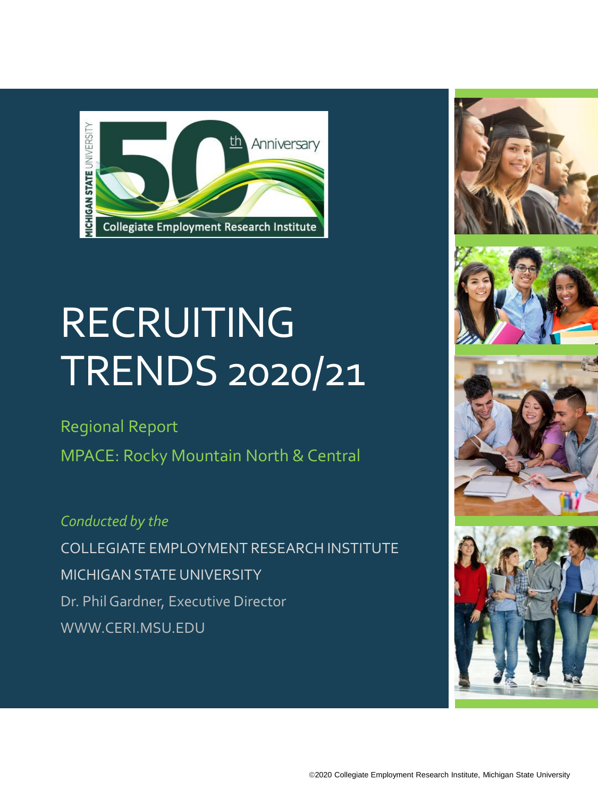

# RECRUITING TRENDS 2020/21

Regional Report

MPACE: Rocky Mountain North & Central

*Conducted by the* COLLEGIATE EMPLOYMENT RESEARCH INSTITUTE MICHIGAN STATE UNIVERSITY Dr. Phil Gardner, Executive Director WWW.CERI.MSU.EDU







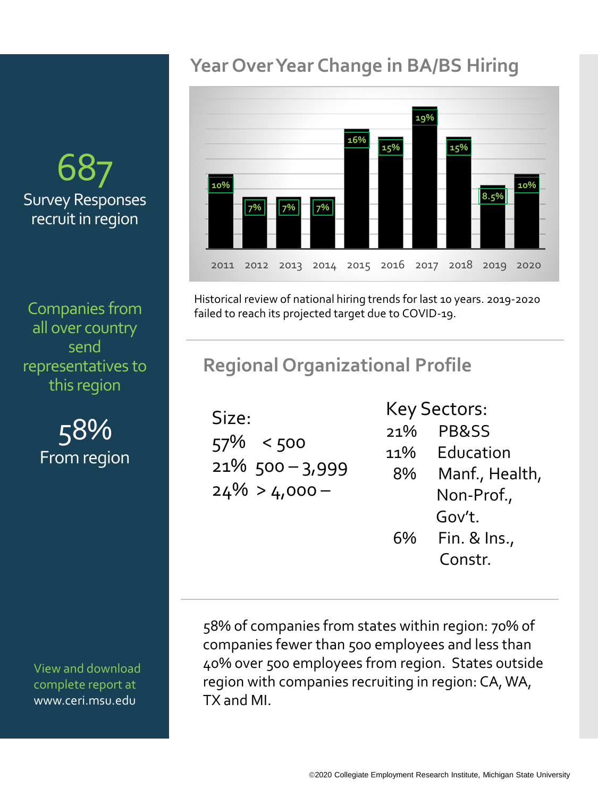# 687 Survey Responses recruit in region

Companies from all over country send representatives to this region

> 58% From region

View and download complete report at www.ceri.msu.edu

## **Year Over Year Change in BA/BS Hiring**



Historical review of national hiring trends for last 10 years. 2019-2020 failed to reach its projected target due to COVID-19.

## **Regional Organizational Profile**

Size: 57% < 500 21% 500 – 3,999  $24\% > 4,000 -$ 

#### Key Sectors:

21% PB&SS 11% Education 8% Manf., Health, Non-Prof., Gov't. 6% Fin. & Ins., Constr.

58% of companies from states within region: 70% of companies fewer than 500 employees and less than 40% over 500 employees from region. States outside region with companies recruiting in region: CA, WA, TX and MI.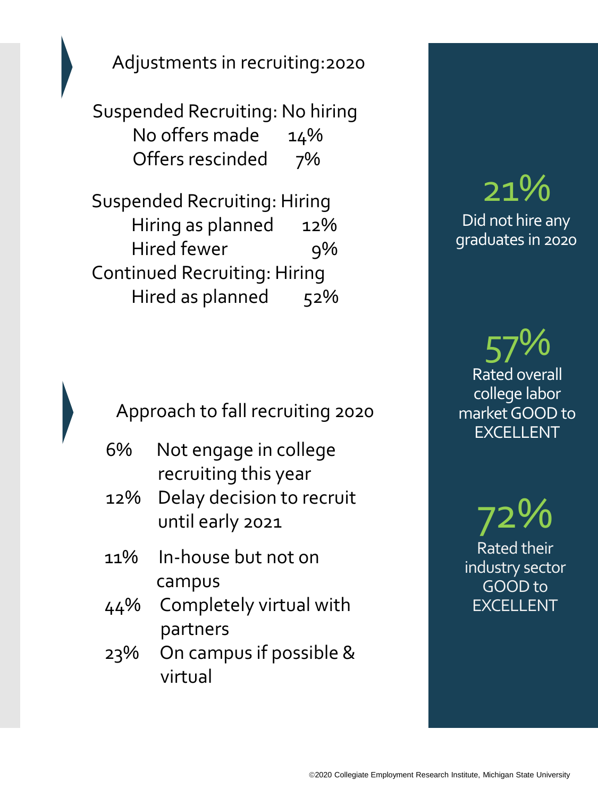Adjustments in recruiting:2020

Suspended Recruiting: No hiring No offers made 14% Offers rescinded 7%

Suspended Recruiting: Hiring Hiring as planned 12% Hired fewer 9% Continued Recruiting: Hiring Hired as planned 52%

Approach to fall recruiting 2020

- 6% Not engage in college recruiting this year
- 12% Delay decision to recruit until early 2021
- 11% In-house but not on campus
- 44% Completely virtual with partners
- 23% On campus if possible & virtual

# 21% Did not hire any graduates in 2020

57% Rated overall college labor market GOOD to EXCELLENT

72% Rated their industry sector GOOD to EXCELLENT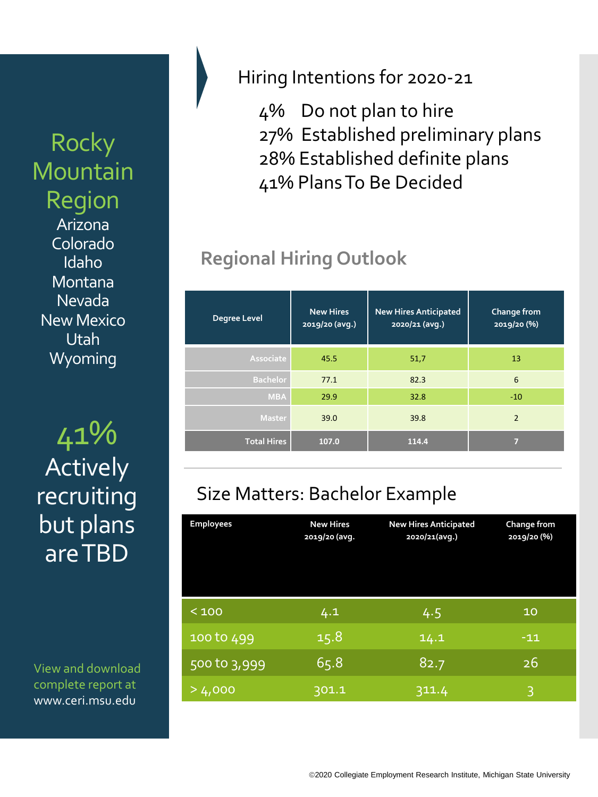# **Rocky** Mountain Region

Arizona Colorado Idaho Montana Nevada New Mexico Utah **Wyoming** 

41% **Total Hires 107.0 114.4 <sup>7</sup> Actively** recruiting but plans are TBD

View and download complete report at www.ceri.msu.edu

### Hiring Intentions for 2020-21

4% Do not plan to hire 27% Established preliminary plans 28% Established definite plans 41% Plans To Be Decided

# **Regional Hiring Outlook**

| Degree Level       | <b>New Hires</b><br>2019/20 (avg.) | <b>New Hires Anticipated</b><br>2020/21 (avg.) | Change from<br>2019/20 (%) |
|--------------------|------------------------------------|------------------------------------------------|----------------------------|
| Associate          | 45.5                               | 51,7                                           | 13                         |
| <b>Bachelor</b>    | 77.1                               | 82.3                                           | 6                          |
| <b>MBA</b>         | 29.9                               | 32.8                                           | $-10$                      |
| <b>Master</b>      | 39.0                               | 39.8                                           | $\overline{2}$             |
| <b>Total Hires</b> | 107.0                              | 114.4                                          | 7                          |

## Size Matters: Bachelor Example

| <b>Employees</b> | <b>New Hires</b><br>2019/20 (avg. | <b>New Hires Anticipated</b><br>2020/21(avg.) | Change from<br>2019/20 (%) |
|------------------|-----------------------------------|-----------------------------------------------|----------------------------|
| < 100            | 4.1                               | 4.5                                           | 10                         |
| 100 to 499       | 15.8                              | 14.1                                          | $-11$                      |
| 500 to 3,999     | 65.8                              | 82.7                                          | 26                         |
| >4,000           | 301.1                             | 311.4                                         | B                          |